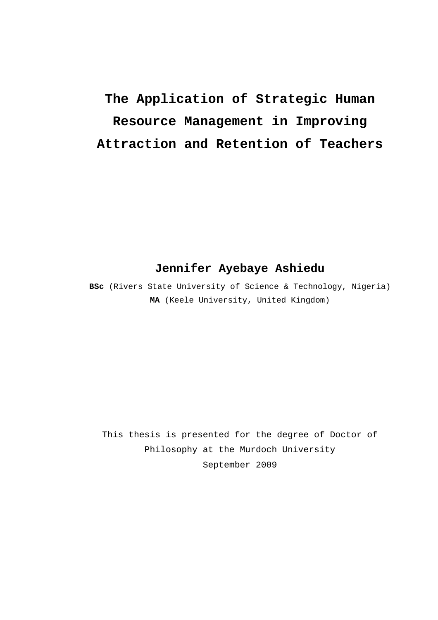# **The Application of Strategic Human Resource Management in Improving Attraction and Retention of Teachers**

#### **Jennifer Ayebaye Ashiedu**

**BSc** (Rivers State University of Science & Technology, Nigeria) **MA** (Keele University, United Kingdom)

This thesis is presented for the degree of Doctor of Philosophy at the Murdoch University September 2009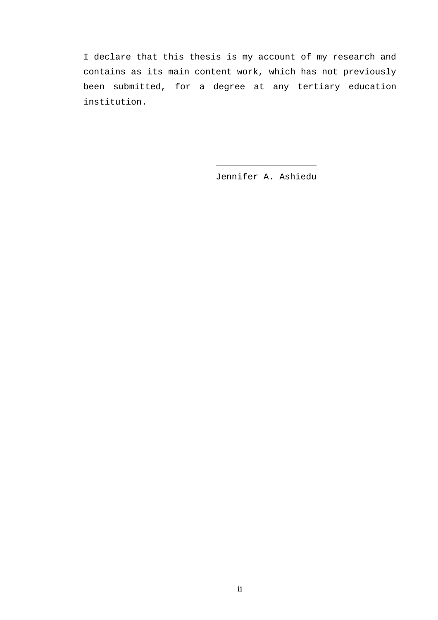I declare that this thesis is my account of my research and contains as its main content work, which has not previously been submitted, for a degree at any tertiary education institution.

 $\frac{1}{\sqrt{2}}$  ,  $\frac{1}{\sqrt{2}}$  ,  $\frac{1}{\sqrt{2}}$  ,  $\frac{1}{\sqrt{2}}$  ,  $\frac{1}{\sqrt{2}}$  ,  $\frac{1}{\sqrt{2}}$  ,  $\frac{1}{\sqrt{2}}$  ,  $\frac{1}{\sqrt{2}}$  ,  $\frac{1}{\sqrt{2}}$  ,  $\frac{1}{\sqrt{2}}$  ,  $\frac{1}{\sqrt{2}}$  ,  $\frac{1}{\sqrt{2}}$  ,  $\frac{1}{\sqrt{2}}$  ,  $\frac{1}{\sqrt{2}}$  ,  $\frac{1}{\sqrt{2}}$ 

Jennifer A. Ashiedu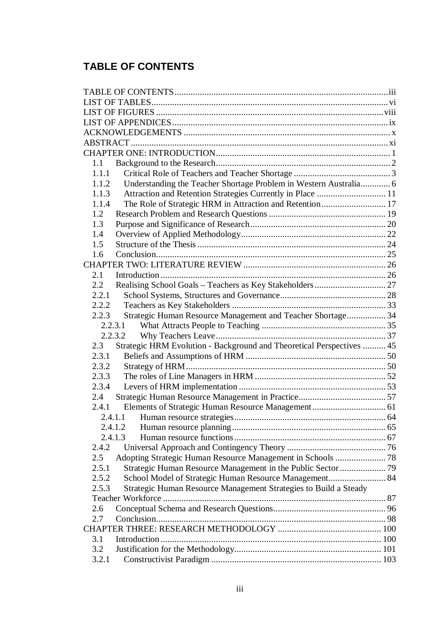## **TABLE OF CONTENTS**

| 1.1           |                                                                       |  |
|---------------|-----------------------------------------------------------------------|--|
| 1.1.1         |                                                                       |  |
| 1.1.2         | Understanding the Teacher Shortage Problem in Western Australia 6     |  |
| 1.1.3         | Attraction and Retention Strategies Currently in Place  11            |  |
| 1.1.4         | The Role of Strategic HRM in Attraction and Retention 17              |  |
| 1.2           |                                                                       |  |
| 1.3           |                                                                       |  |
| 1.4           |                                                                       |  |
| 1.5           |                                                                       |  |
| 1.6           |                                                                       |  |
|               |                                                                       |  |
| 2.1           |                                                                       |  |
| $2.2^{\circ}$ |                                                                       |  |
| 2.2.1         |                                                                       |  |
| 2.2.2         |                                                                       |  |
| 2.2.3         | Strategic Human Resource Management and Teacher Shortage 34           |  |
|               |                                                                       |  |
|               | 2.2.3.2                                                               |  |
| 2.3           | Strategic HRM Evolution - Background and Theoretical Perspectives  45 |  |
| 2.3.1         |                                                                       |  |
| 2.3.2         |                                                                       |  |
| 2.3.3         |                                                                       |  |
| 2.3.4         |                                                                       |  |
| 2.4           |                                                                       |  |
| 2.4.1         |                                                                       |  |
|               |                                                                       |  |
| 2.4.1.2       |                                                                       |  |
|               | 2.4.1.3                                                               |  |
| 2.4.2         |                                                                       |  |
| 2.5           |                                                                       |  |
| 2.5.1         |                                                                       |  |
| 2.5.2         | School Model of Strategic Human Resource Management 84                |  |
| 2.5.3         | Strategic Human Resource Management Strategies to Build a Steady      |  |
|               |                                                                       |  |
| 2.6           |                                                                       |  |
| 2.7           |                                                                       |  |
|               |                                                                       |  |
| 3.1           |                                                                       |  |
| 3.2           |                                                                       |  |
| 3.2.1         |                                                                       |  |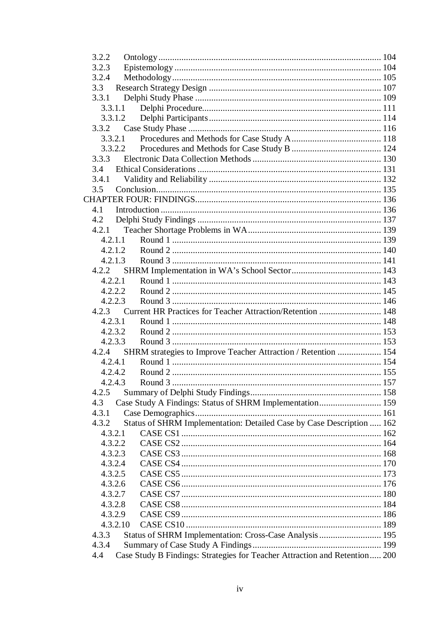| 3.2.2   |                                                                            |  |
|---------|----------------------------------------------------------------------------|--|
| 3.2.3   |                                                                            |  |
| 3.2.4   |                                                                            |  |
| 3.3     |                                                                            |  |
| 3.3.1   |                                                                            |  |
|         | 3.3.1.1                                                                    |  |
|         | 3.3.1.2                                                                    |  |
| 3.3.2   |                                                                            |  |
| 3.3.2.1 |                                                                            |  |
|         | 3.3.2.2                                                                    |  |
| 3.3.3   |                                                                            |  |
| 3.4     |                                                                            |  |
| 3.4.1   |                                                                            |  |
| 3.5     |                                                                            |  |
|         |                                                                            |  |
| 4.1     |                                                                            |  |
| 4.2     |                                                                            |  |
| 4.2.1   |                                                                            |  |
| 4.2.1.1 |                                                                            |  |
| 4.2.1.2 |                                                                            |  |
|         | 4.2.1.3                                                                    |  |
| 4.2.2   |                                                                            |  |
|         | 4.2.2.1                                                                    |  |
|         | 4.2.2.2                                                                    |  |
| 4.2.2.3 |                                                                            |  |
| 4.2.3   | Current HR Practices for Teacher Attraction/Retention  148                 |  |
|         | 4.2.3.1                                                                    |  |
|         | 4.2.3.2                                                                    |  |
|         | 4.2.3.3                                                                    |  |
| 4.2.4   | SHRM strategies to Improve Teacher Attraction / Retention  154             |  |
|         | 4.2.4.1                                                                    |  |
| 4.2.4.2 |                                                                            |  |
|         |                                                                            |  |
|         |                                                                            |  |
| 4.2.5   |                                                                            |  |
| 4.3     | Case Study A Findings: Status of SHRM Implementation 159                   |  |
| 4.3.1   |                                                                            |  |
| 4.3.2   | Status of SHRM Implementation: Detailed Case by Case Description  162      |  |
| 4.3.2.1 |                                                                            |  |
|         | 4.3.2.2                                                                    |  |
| 4.3.2.3 |                                                                            |  |
|         | 4.3.2.4                                                                    |  |
| 4.3.2.5 |                                                                            |  |
| 4.3.2.6 |                                                                            |  |
|         | 4.3.2.7                                                                    |  |
| 4.3.2.8 |                                                                            |  |
|         | 4.3.2.9                                                                    |  |
|         | 4.3.2.10                                                                   |  |
| 4.3.3   | Status of SHRM Implementation: Cross-Case Analysis  195                    |  |
| 4.3.4   |                                                                            |  |
| 4.4     | Case Study B Findings: Strategies for Teacher Attraction and Retention 200 |  |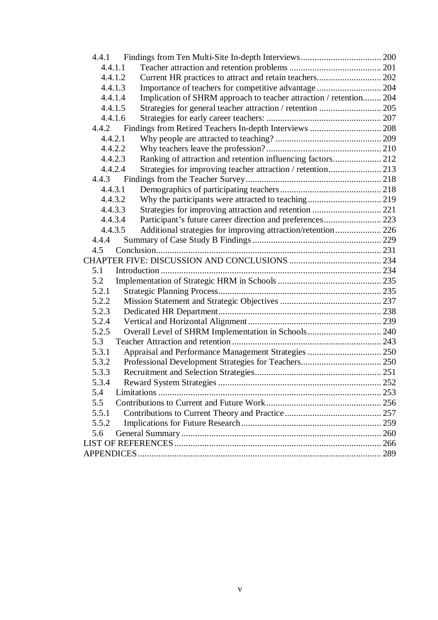| 4.4.1                                                                         |     |
|-------------------------------------------------------------------------------|-----|
| 4.4.1.1                                                                       |     |
| Current HR practices to attract and retain teachers 202<br>4.4.1.2            |     |
| 4.4.1.3                                                                       |     |
| Implication of SHRM approach to teacher attraction / retention 204<br>4.4.1.4 |     |
| 4.4.1.5                                                                       |     |
| 4.4.1.6                                                                       |     |
| 4.4.2                                                                         |     |
| 4.4.2.1                                                                       |     |
| 4.4.2.2                                                                       |     |
| Ranking of attraction and retention influencing factors 212<br>4.4.2.3        |     |
| 4.4.2.4<br>Strategies for improving teacher attraction / retention 213        |     |
| 4.4.3                                                                         |     |
| 4.4.3.1                                                                       |     |
| 4.4.3.2                                                                       |     |
| Strategies for improving attraction and retention  221<br>4.4.3.3             |     |
| 4.4.3.4                                                                       |     |
| Additional strategies for improving attraction/retention 226<br>4.4.3.5       |     |
| 4.4.4                                                                         |     |
| 4.5                                                                           |     |
|                                                                               |     |
| 5.1                                                                           |     |
| 5.2                                                                           |     |
| 5.2.1                                                                         |     |
| 5.2.2                                                                         |     |
| 5.2.3                                                                         |     |
| 5.2.4                                                                         |     |
| Overall Level of SHRM Implementation in Schools 240<br>5.2.5                  |     |
| 5.3                                                                           |     |
| 5.3.1<br>Appraisal and Performance Management Strategies  250                 |     |
| 5.3.2                                                                         |     |
| 5.3.3                                                                         |     |
| 5.3.4                                                                         |     |
| 5.4                                                                           |     |
| 5.5                                                                           |     |
| 5.5.1                                                                         |     |
| 5.5.2                                                                         |     |
| 5.6                                                                           |     |
|                                                                               |     |
|                                                                               | 289 |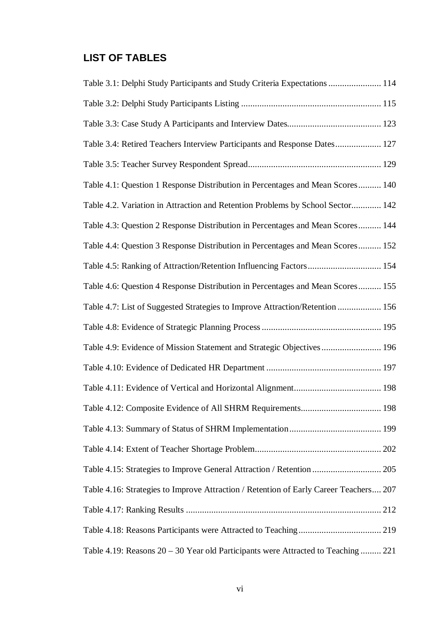## **LIST OF TABLES**

| Table 3.1: Delphi Study Participants and Study Criteria Expectations  114             |
|---------------------------------------------------------------------------------------|
|                                                                                       |
|                                                                                       |
| Table 3.4: Retired Teachers Interview Participants and Response Dates 127             |
|                                                                                       |
| Table 4.1: Question 1 Response Distribution in Percentages and Mean Scores 140        |
| Table 4.2. Variation in Attraction and Retention Problems by School Sector 142        |
| Table 4.3: Question 2 Response Distribution in Percentages and Mean Scores 144        |
| Table 4.4: Question 3 Response Distribution in Percentages and Mean Scores 152        |
| Table 4.5: Ranking of Attraction/Retention Influencing Factors 154                    |
| Table 4.6: Question 4 Response Distribution in Percentages and Mean Scores 155        |
| Table 4.7: List of Suggested Strategies to Improve Attraction/Retention  156          |
|                                                                                       |
| Table 4.9: Evidence of Mission Statement and Strategic Objectives  196                |
|                                                                                       |
|                                                                                       |
|                                                                                       |
|                                                                                       |
|                                                                                       |
| Table 4.15: Strategies to Improve General Attraction / Retention  205                 |
| Table 4.16: Strategies to Improve Attraction / Retention of Early Career Teachers 207 |
|                                                                                       |
|                                                                                       |
| Table 4.19: Reasons 20 – 30 Year old Participants were Attracted to Teaching  221     |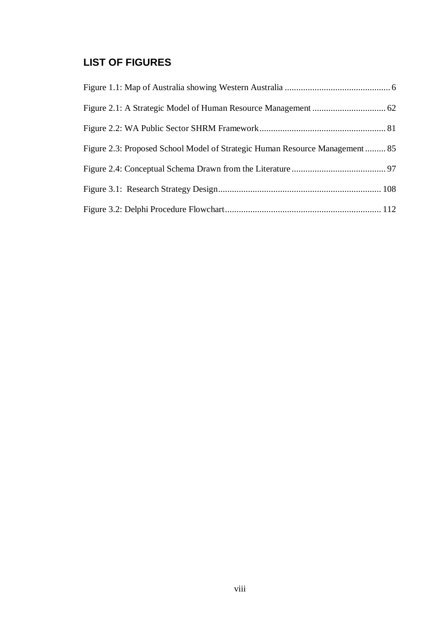### **LIST OF FIGURES**

| Figure 2.3: Proposed School Model of Strategic Human Resource Management 85 |  |
|-----------------------------------------------------------------------------|--|
|                                                                             |  |
|                                                                             |  |
|                                                                             |  |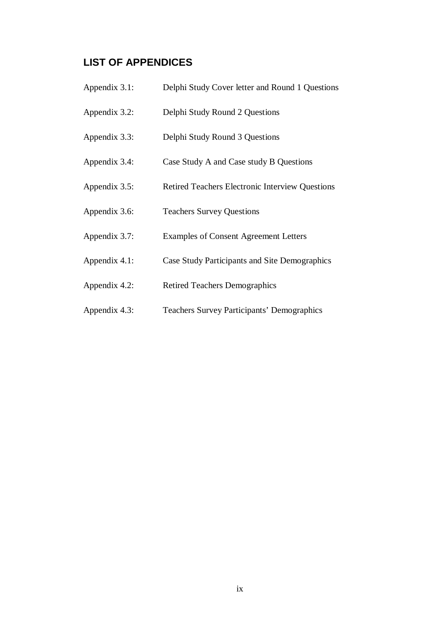#### **LIST OF APPENDICES**

- Appendix 3.1: Delphi Study Cover letter and Round 1 Questions
- Appendix 3.2: Delphi Study Round 2 Questions
- Appendix 3.3: Delphi Study Round 3 Questions
- Appendix 3.4: Case Study A and Case study B Questions
- Appendix 3.5: Retired Teachers Electronic Interview Questions
- Appendix 3.6: Teachers Survey Questions
- Appendix 3.7: Examples of Consent Agreement Letters
- Appendix 4.1: Case Study Participants and Site Demographics
- Appendix 4.2: Retired Teachers Demographics
- Appendix 4.3: Teachers Survey Participants' Demographics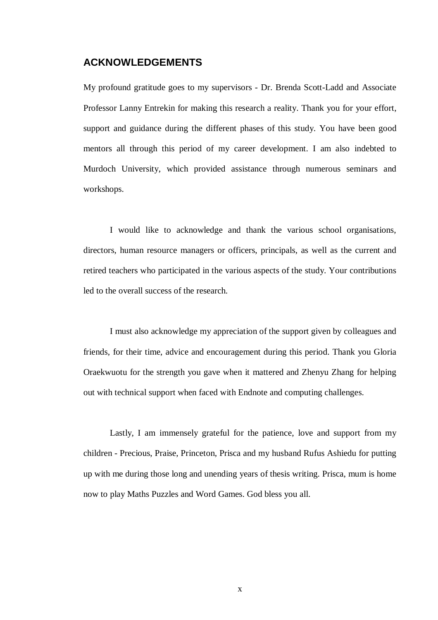#### **ACKNOWLEDGEMENTS**

My profound gratitude goes to my supervisors - Dr. Brenda Scott-Ladd and Associate Professor Lanny Entrekin for making this research a reality. Thank you for your effort, support and guidance during the different phases of this study. You have been good mentors all through this period of my career development. I am also indebted to Murdoch University, which provided assistance through numerous seminars and workshops.

 I would like to acknowledge and thank the various school organisations, directors, human resource managers or officers, principals, as well as the current and retired teachers who participated in the various aspects of the study. Your contributions led to the overall success of the research.

 I must also acknowledge my appreciation of the support given by colleagues and friends, for their time, advice and encouragement during this period. Thank you Gloria Oraekwuotu for the strength you gave when it mattered and Zhenyu Zhang for helping out with technical support when faced with Endnote and computing challenges.

Lastly, I am immensely grateful for the patience, love and support from my children - Precious, Praise, Princeton, Prisca and my husband Rufus Ashiedu for putting up with me during those long and unending years of thesis writing. Prisca, mum is home now to play Maths Puzzles and Word Games. God bless you all.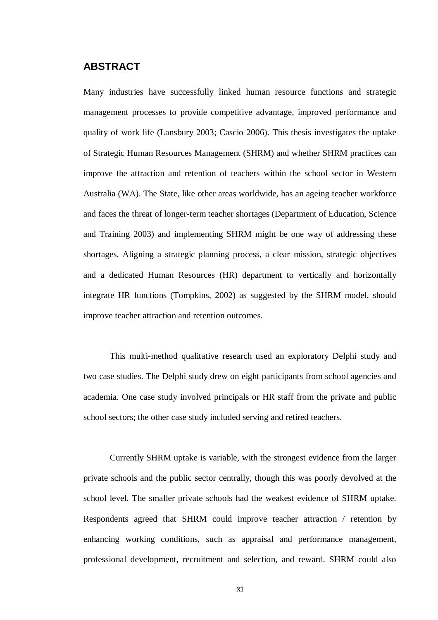#### **ABSTRACT**

Many industries have successfully linked human resource functions and strategic management processes to provide competitive advantage, improved performance and quality of work life (Lansbury 2003; Cascio 2006). This thesis investigates the uptake of Strategic Human Resources Management (SHRM) and whether SHRM practices can improve the attraction and retention of teachers within the school sector in Western Australia (WA). The State, like other areas worldwide, has an ageing teacher workforce and faces the threat of longer-term teacher shortages (Department of Education, Science and Training 2003) and implementing SHRM might be one way of addressing these shortages. Aligning a strategic planning process, a clear mission, strategic objectives and a dedicated Human Resources (HR) department to vertically and horizontally integrate HR functions (Tompkins, 2002) as suggested by the SHRM model, should improve teacher attraction and retention outcomes.

This multi-method qualitative research used an exploratory Delphi study and two case studies. The Delphi study drew on eight participants from school agencies and academia. One case study involved principals or HR staff from the private and public school sectors; the other case study included serving and retired teachers.

Currently SHRM uptake is variable, with the strongest evidence from the larger private schools and the public sector centrally, though this was poorly devolved at the school level. The smaller private schools had the weakest evidence of SHRM uptake. Respondents agreed that SHRM could improve teacher attraction / retention by enhancing working conditions, such as appraisal and performance management, professional development, recruitment and selection, and reward. SHRM could also